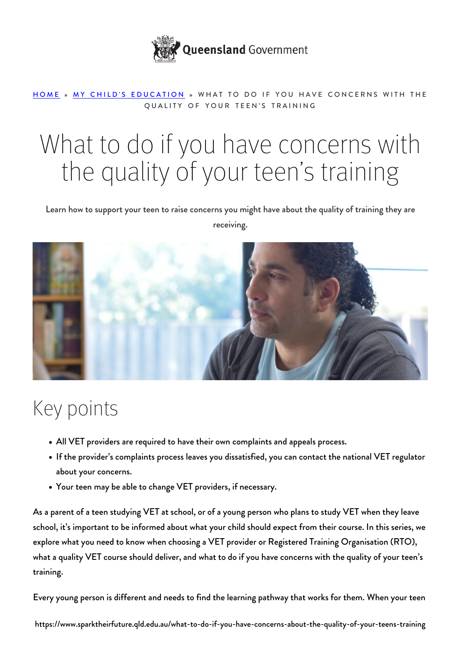

#### [HOME](https://www.sparktheirfuture.qld.edu.au/) » [MY CHILD'S EDUCATION](https://www.sparktheirfuture.qld.edu.au/category/my-childs-school/) » WHAT TO DO IF YOU HAVE CONCERNS WITH THE QUALITY OF YOUR TEEN'S TRAINING

# What to do if you have concerns with the quality of your teen's training

Learn how to support your teen to raise concerns you might have about the quality of training they are receiving.



#### Key points

- All VET providers are required to have their own complaints and appeals process.
- If the provider's complaints process leaves you dissatisfied, you can contact the national VET regulator about your concerns.
- Your teen may be able to change VET providers, if necessary.

As a parent of a teen studying VET at school, or of a young person who plans to study VET when they leave school, it's important to be informed about what your child should expect from their course. In this series, we explore what you need to know when [choosing a VET provider](https://www.sparktheirfuture.qld.edu.au/how-to-choose-a-provider-for-your-teens-vocational-education-and-training-vet-course/) or Registered Training Organisation (RTO), [what a quality VET course should deliver](https://www.sparktheirfuture.qld.edu.au/how-to-choose-a-quality-vocational-education-and-training-vet-course/), and what to do if you have concerns with the quality of your teen's training.

Every young person is different and needs to find the learning pathway that works for them. When your teen

https://www.sparktheirfuture.qld.edu.au/what-to-do-if-you-have-concerns-about-the-quality-of-your-teens-training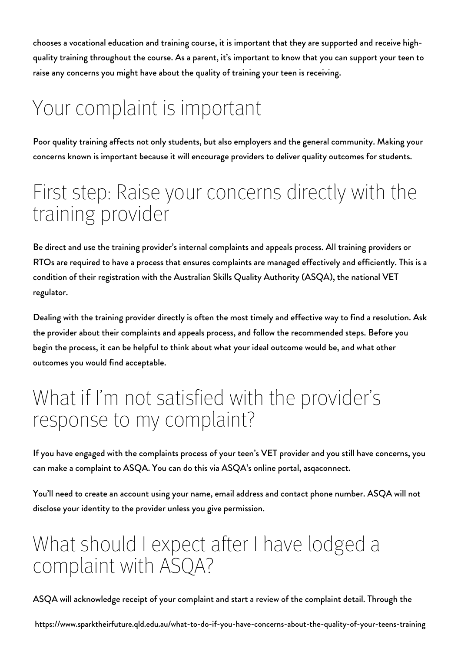chooses a vocational education and training course, it is important that they are supported and receive highquality training throughout the course. As a parent, it's important to know that you can support your teen to raise any concerns you might have about the quality of training your teen is receiving.

## Your complaint is important

Poor quality training affects not only students, but also employers and the general community. Making your concerns known is important because it will encourage providers to deliver quality outcomes for students.

#### First step: Raise your concerns directly with the training provider

Be direct and use the training provider's internal complaints and appeals process. All training providers or RTOs are required to have a process that ensures complaints are managed effectively and efficiently. This is a condition of their registration with the Australian Skills Quality Authority (ASQA), the national VET regulator.

Dealing with the training provider directly is often the most timely and effective way to find a resolution. Ask the provider about their complaints and appeals process, and follow the recommended steps. Before you begin the process, it can be helpful to think about what your ideal outcome would be, and what other outcomes you would find acceptable.

#### What if I'm not satisfied with the provider's response to my complaint?

If you have engaged with the complaints process of your teen's VET provider and you still have concerns, you can make a complaint to ASQA. You can do this via ASQA's online portal, [asqaconnect](https://asqaconnect.asqa.gov.au/).

You'll need to create an account using your name, email address and contact phone number. ASQA will not disclose your identity to the provider unless you give permission.

#### What should I expect after I have lodged a complaint with ASQA?

ASQA will acknowledge receipt of your complaint and start a review of the complaint detail. Through the

https://www.sparktheirfuture.qld.edu.au/what-to-do-if-you-have-concerns-about-the-quality-of-your-teens-training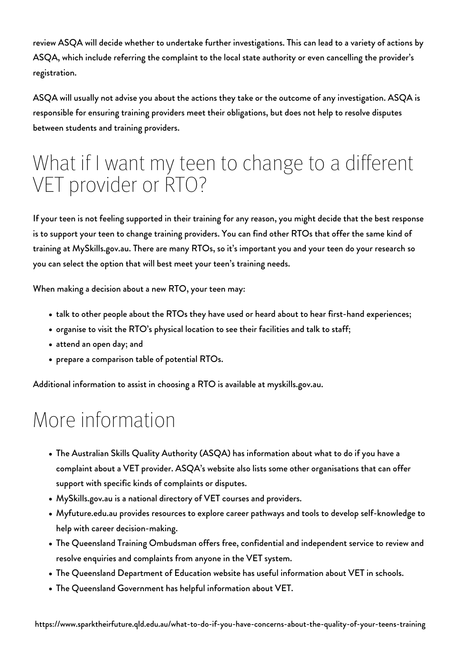review ASQA will decide whether to undertake further investigations. This can lead to a variety of actions by ASQA, which include referring the complaint to the local state authority or even cancelling the provider's registration.

ASQA will usually not advise you about the actions they take or the outcome of any investigation. ASQA is responsible for ensuring training providers meet their obligations, but does not help to resolve disputes between students and training providers.

### What if I want my teen to change to a different VET provider or RTO?

If your teen is not feeling supported in their training for any reason, you might decide that the best response is to support your teen to change training providers. You can find other RTOs that offer the same kind of training at [MySkills.gov.au.](https://www.myskills.gov.au/) There are many RTOs, so it's important you and your teen do your research so you can [select the option](https://www.sparktheirfuture.qld.edu.au/how-to-choose-a-provider-for-your-teens-vocational-education-and-training-vet-course/) that will best meet your teen's training needs.

When making a decision about a new RTO, your teen may:

- talk to other people about the RTOs they have used or heard about to hear first-hand experiences;
- organise to visit the RTO's physical location to see their facilities and talk to staff;
- attend an open day; and
- prepare a comparison table of potential RTOs.

Additional information to assist in choosing a RTO is available at [myskills.gov.au.](https://www.myskills.gov.au/more/help/choosing-a-training-provider/)

#### More information

- The Australian Skills Quality Authority (ASQA) has information about [what to do if you have a](https://www.asqa.gov.au/complaints/complaints-about-training-providers) [complaint](https://www.asqa.gov.au/complaints/complaints-about-training-providers) about a VET provider. ASQA's website also lists [some other organisations that can offer](https://www.asqa.gov.au/complaints/more-support) [support](https://www.asqa.gov.au/complaints/more-support) with specific kinds of complaints or disputes.
- [MySkills.gov.au](https://www.myskills.gov.au/) is a national directory of VET courses and providers.
- [Myfuture.edu.au](https://myfuture.edu.au/) provides resources to explore career pathways and tools to develop self-knowledge to help with career decision-making.
- The [Queensland Training Ombudsman](https://trainingombudsman.qld.gov.au/) offers free, confidential and independent service to review and resolve enquiries and complaints from anyone in the VET system.
- [The Queensland Department of Education website](https://education.qld.gov.au/careers/apprentices-and-trainees/vet-in-school) has useful information about VET in schools.
- [The Queensland Government](https://www.qld.gov.au/education/further-ed/vet) has helpful information about VET.